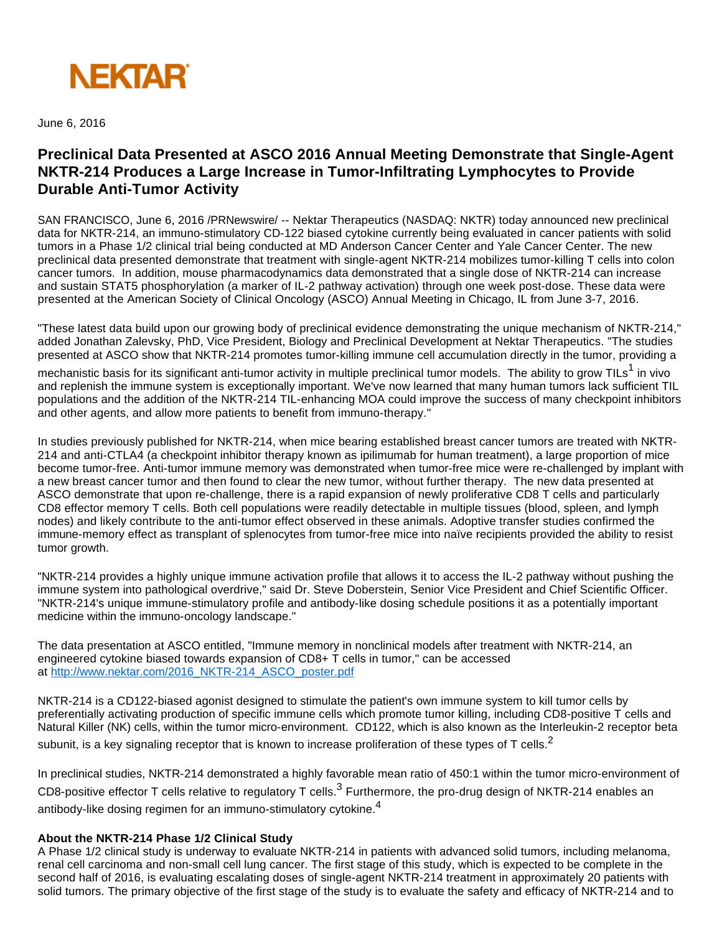

June 6, 2016

# **Preclinical Data Presented at ASCO 2016 Annual Meeting Demonstrate that Single-Agent NKTR-214 Produces a Large Increase in Tumor-Infiltrating Lymphocytes to Provide Durable Anti-Tumor Activity**

SAN FRANCISCO, June 6, 2016 /PRNewswire/ -- Nektar Therapeutics (NASDAQ: NKTR) today announced new preclinical data for NKTR-214, an immuno-stimulatory CD-122 biased cytokine currently being evaluated in cancer patients with solid tumors in a Phase 1/2 clinical trial being conducted at MD Anderson Cancer Center and Yale Cancer Center. The new preclinical data presented demonstrate that treatment with single-agent NKTR-214 mobilizes tumor-killing T cells into colon cancer tumors. In addition, mouse pharmacodynamics data demonstrated that a single dose of NKTR-214 can increase and sustain STAT5 phosphorylation (a marker of IL-2 pathway activation) through one week post-dose. These data were presented at the American Society of Clinical Oncology (ASCO) Annual Meeting in Chicago, IL from June 3-7, 2016.

"These latest data build upon our growing body of preclinical evidence demonstrating the unique mechanism of NKTR-214," added Jonathan Zalevsky, PhD, Vice President, Biology and Preclinical Development at Nektar Therapeutics. "The studies presented at ASCO show that NKTR-214 promotes tumor-killing immune cell accumulation directly in the tumor, providing a

mechanistic basis for its significant anti-tumor activity in multiple preclinical tumor models. The ability to grow TILs<sup>1</sup> in vivo and replenish the immune system is exceptionally important. We've now learned that many human tumors lack sufficient TIL populations and the addition of the NKTR-214 TIL-enhancing MOA could improve the success of many checkpoint inhibitors and other agents, and allow more patients to benefit from immuno-therapy."

In studies previously published for NKTR-214, when mice bearing established breast cancer tumors are treated with NKTR-214 and anti-CTLA4 (a checkpoint inhibitor therapy known as ipilimumab for human treatment), a large proportion of mice become tumor-free. Anti-tumor immune memory was demonstrated when tumor-free mice were re-challenged by implant with a new breast cancer tumor and then found to clear the new tumor, without further therapy. The new data presented at ASCO demonstrate that upon re-challenge, there is a rapid expansion of newly proliferative CD8 T cells and particularly CD8 effector memory T cells. Both cell populations were readily detectable in multiple tissues (blood, spleen, and lymph nodes) and likely contribute to the anti-tumor effect observed in these animals. Adoptive transfer studies confirmed the immune-memory effect as transplant of splenocytes from tumor-free mice into naïve recipients provided the ability to resist tumor growth.

"NKTR-214 provides a highly unique immune activation profile that allows it to access the IL-2 pathway without pushing the immune system into pathological overdrive," said Dr. Steve Doberstein, Senior Vice President and Chief Scientific Officer. "NKTR-214's unique immune-stimulatory profile and antibody-like dosing schedule positions it as a potentially important medicine within the immuno-oncology landscape."

The data presentation at ASCO entitled, "Immune memory in nonclinical models after treatment with NKTR-214, an engineered cytokine biased towards expansion of CD8+ T cells in tumor," can be accessed at [http://www.nektar.com/2016\\_NKTR-214\\_ASCO\\_poster.pdf](http://www.nektar.com/2016_NKTR-214_ASCO_poster.pdf)

NKTR-214 is a CD122-biased agonist designed to stimulate the patient's own immune system to kill tumor cells by preferentially activating production of specific immune cells which promote tumor killing, including CD8-positive T cells and Natural Killer (NK) cells, within the tumor micro-environment. CD122, which is also known as the Interleukin-2 receptor beta subunit, is a key signaling receptor that is known to increase proliferation of these types of T cells.<sup>2</sup>

In preclinical studies, NKTR-214 demonstrated a highly favorable mean ratio of 450:1 within the tumor micro-environment of CD8-positive effector T cells relative to regulatory T cells.<sup>3</sup> Furthermore, the pro-drug design of NKTR-214 enables an antibody-like dosing regimen for an immuno-stimulatory cytokine.<sup>4</sup>

### **About the NKTR-214 Phase 1/2 Clinical Study**

A Phase 1/2 clinical study is underway to evaluate NKTR-214 in patients with advanced solid tumors, including melanoma, renal cell carcinoma and non-small cell lung cancer. The first stage of this study, which is expected to be complete in the second half of 2016, is evaluating escalating doses of single-agent NKTR-214 treatment in approximately 20 patients with solid tumors. The primary objective of the first stage of the study is to evaluate the safety and efficacy of NKTR-214 and to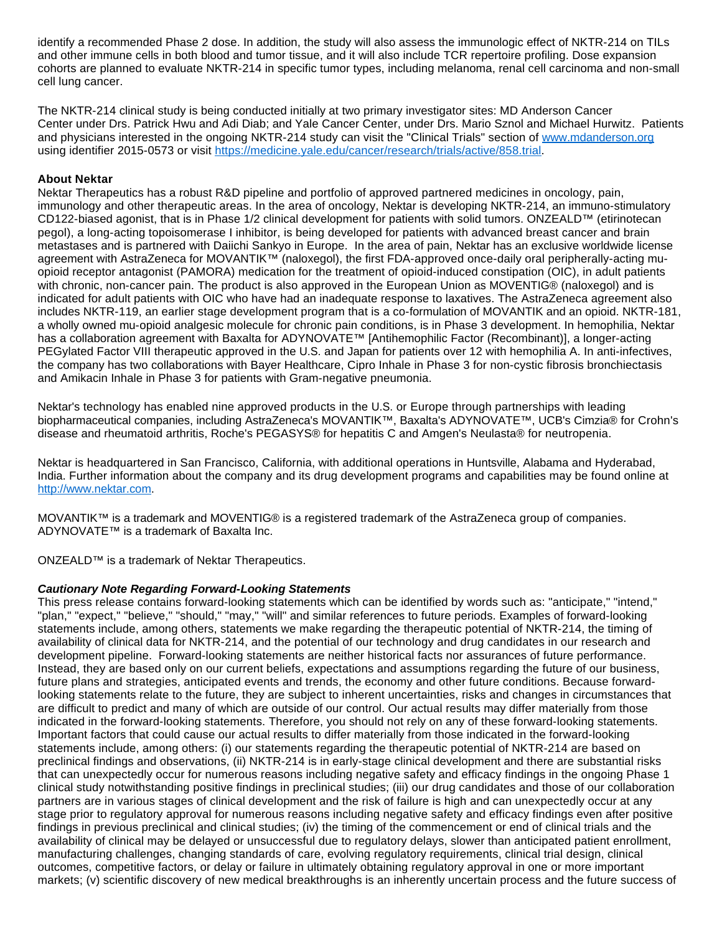identify a recommended Phase 2 dose. In addition, the study will also assess the immunologic effect of NKTR-214 on TILs and other immune cells in both blood and tumor tissue, and it will also include TCR repertoire profiling. Dose expansion cohorts are planned to evaluate NKTR-214 in specific tumor types, including melanoma, renal cell carcinoma and non-small cell lung cancer.

The NKTR-214 clinical study is being conducted initially at two primary investigator sites: MD Anderson Cancer Center under Drs. Patrick Hwu and Adi Diab; and Yale Cancer Center, under Drs. Mario Sznol and Michael Hurwitz. Patients and physicians interested in the ongoing NKTR-214 study can visit the "Clinical Trials" section of [www.mdanderson.org](http://www.mdanderson.org/) using identifier 2015-0573 or visit<https://medicine.yale.edu/cancer/research/trials/active/858.trial>.

### **About Nektar**

Nektar Therapeutics has a robust R&D pipeline and portfolio of approved partnered medicines in oncology, pain, immunology and other therapeutic areas. In the area of oncology, Nektar is developing NKTR-214, an immuno-stimulatory CD122-biased agonist, that is in Phase 1/2 clinical development for patients with solid tumors. ONZEALD™ (etirinotecan pegol), a long-acting topoisomerase I inhibitor, is being developed for patients with advanced breast cancer and brain metastases and is partnered with Daiichi Sankyo in Europe. In the area of pain, Nektar has an exclusive worldwide license agreement with AstraZeneca for MOVANTIK™ (naloxegol), the first FDA-approved once-daily oral peripherally-acting muopioid receptor antagonist (PAMORA) medication for the treatment of opioid-induced constipation (OIC), in adult patients with chronic, non-cancer pain. The product is also approved in the European Union as MOVENTIG® (naloxegol) and is indicated for adult patients with OIC who have had an inadequate response to laxatives. The AstraZeneca agreement also includes NKTR-119, an earlier stage development program that is a co-formulation of MOVANTIK and an opioid. NKTR-181, a wholly owned mu-opioid analgesic molecule for chronic pain conditions, is in Phase 3 development. In hemophilia, Nektar has a collaboration agreement with Baxalta for ADYNOVATE™ [Antihemophilic Factor (Recombinant)], a longer-acting PEGylated Factor VIII therapeutic approved in the U.S. and Japan for patients over 12 with hemophilia A. In anti-infectives, the company has two collaborations with Bayer Healthcare, Cipro Inhale in Phase 3 for non-cystic fibrosis bronchiectasis and Amikacin Inhale in Phase 3 for patients with Gram-negative pneumonia.

Nektar's technology has enabled nine approved products in the U.S. or Europe through partnerships with leading biopharmaceutical companies, including AstraZeneca's MOVANTIK™, Baxalta's ADYNOVATE™, UCB's Cimzia® for Crohn's disease and rheumatoid arthritis, Roche's PEGASYS® for hepatitis C and Amgen's Neulasta® for neutropenia.

Nektar is headquartered in San Francisco, California, with additional operations in Huntsville, Alabama and Hyderabad, India. Further information about the company and its drug development programs and capabilities may be found online at [http://www.nektar.com](http://www.nektar.com/).

MOVANTIK™ is a trademark and MOVENTIG® is a registered trademark of the AstraZeneca group of companies. ADYNOVATE™ is a trademark of Baxalta Inc.

ONZEALD™ is a trademark of Nektar Therapeutics.

### **Cautionary Note Regarding Forward-Looking Statements**

This press release contains forward-looking statements which can be identified by words such as: "anticipate," "intend," "plan," "expect," "believe," "should," "may," "will" and similar references to future periods. Examples of forward-looking statements include, among others, statements we make regarding the therapeutic potential of NKTR-214, the timing of availability of clinical data for NKTR-214, and the potential of our technology and drug candidates in our research and development pipeline. Forward-looking statements are neither historical facts nor assurances of future performance. Instead, they are based only on our current beliefs, expectations and assumptions regarding the future of our business, future plans and strategies, anticipated events and trends, the economy and other future conditions. Because forwardlooking statements relate to the future, they are subject to inherent uncertainties, risks and changes in circumstances that are difficult to predict and many of which are outside of our control. Our actual results may differ materially from those indicated in the forward-looking statements. Therefore, you should not rely on any of these forward-looking statements. Important factors that could cause our actual results to differ materially from those indicated in the forward-looking statements include, among others: (i) our statements regarding the therapeutic potential of NKTR-214 are based on preclinical findings and observations, (ii) NKTR-214 is in early-stage clinical development and there are substantial risks that can unexpectedly occur for numerous reasons including negative safety and efficacy findings in the ongoing Phase 1 clinical study notwithstanding positive findings in preclinical studies; (iii) our drug candidates and those of our collaboration partners are in various stages of clinical development and the risk of failure is high and can unexpectedly occur at any stage prior to regulatory approval for numerous reasons including negative safety and efficacy findings even after positive findings in previous preclinical and clinical studies; (iv) the timing of the commencement or end of clinical trials and the availability of clinical may be delayed or unsuccessful due to regulatory delays, slower than anticipated patient enrollment, manufacturing challenges, changing standards of care, evolving regulatory requirements, clinical trial design, clinical outcomes, competitive factors, or delay or failure in ultimately obtaining regulatory approval in one or more important markets; (v) scientific discovery of new medical breakthroughs is an inherently uncertain process and the future success of